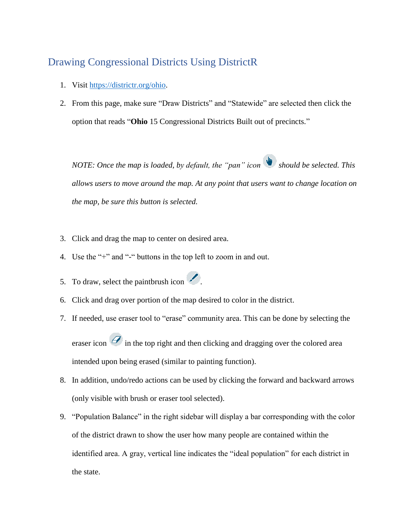## Drawing Congressional Districts Using DistrictR

- 1. Visit [https://districtr.org/ohio.](https://districtr.org/ohio)
- 2. From this page, make sure "Draw Districts" and "Statewide" are selected then click the option that reads "**Ohio** 15 Congressional Districts Built out of precincts."

*NOTE: Once the map is loaded, by default, the "pan" icon should be selected. This allows users to move around the map. At any point that users want to change location on the map, be sure this button is selected.* 

- 3. Click and drag the map to center on desired area.
- 4. Use the "+" and "-" buttons in the top left to zoom in and out.
- 5. To draw, select the paintbrush icon  $\mathcal{L}$ .
- 6. Click and drag over portion of the map desired to color in the district.
- 7. If needed, use eraser tool to "erase" community area. This can be done by selecting the

eraser icon  $\mathcal O$  in the top right and then clicking and dragging over the colored area intended upon being erased (similar to painting function).

- 8. In addition, undo/redo actions can be used by clicking the forward and backward arrows (only visible with brush or eraser tool selected).
- 9. "Population Balance" in the right sidebar will display a bar corresponding with the color of the district drawn to show the user how many people are contained within the identified area. A gray, vertical line indicates the "ideal population" for each district in the state.